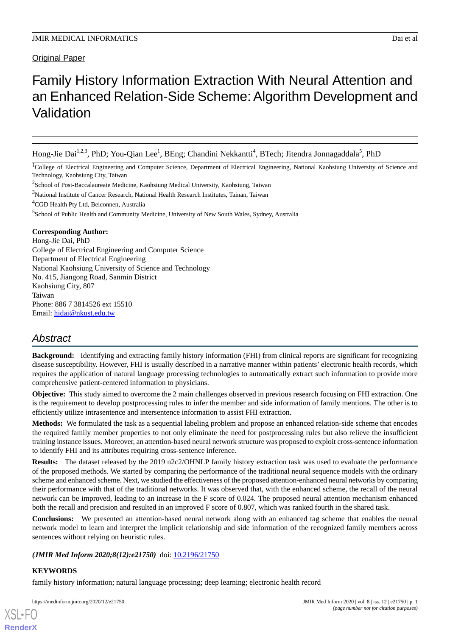# Original Paper

# Family History Information Extraction With Neural Attention and an Enhanced Relation-Side Scheme: Algorithm Development and Validation

Hong-Jie Dai<sup>1,2,3</sup>, PhD; You-Qian Lee<sup>1</sup>, BEng; Chandini Nekkantti<sup>4</sup>, BTech; Jitendra Jonnagaddala<sup>5</sup>, PhD

<sup>1</sup>College of Electrical Engineering and Computer Science, Department of Electrical Engineering, National Kaohsiung University of Science and Technology, Kaohsiung City, Taiwan

 $2$ School of Post-Baccalaureate Medicine, Kaohsiung Medical University, Kaohsiung, Taiwan

<sup>3</sup>National Institute of Cancer Research, National Health Research Institutes, Tainan, Taiwan

<sup>4</sup>CGD Health Pty Ltd, Belconnen, Australia

<sup>5</sup>School of Public Health and Community Medicine, University of New South Wales, Sydney, Australia

#### **Corresponding Author:**

Hong-Jie Dai, PhD College of Electrical Engineering and Computer Science Department of Electrical Engineering National Kaohsiung University of Science and Technology No. 415, Jiangong Road, Sanmin District Kaohsiung City, 807 Taiwan Phone: 886 7 3814526 ext 15510 Email: [hjdai@nkust.edu.tw](mailto:hjdai@nkust.edu.tw)

# *Abstract*

**Background:** Identifying and extracting family history information (FHI) from clinical reports are significant for recognizing disease susceptibility. However, FHI is usually described in a narrative manner within patients' electronic health records, which requires the application of natural language processing technologies to automatically extract such information to provide more comprehensive patient-centered information to physicians.

**Objective:** This study aimed to overcome the 2 main challenges observed in previous research focusing on FHI extraction. One is the requirement to develop postprocessing rules to infer the member and side information of family mentions. The other is to efficiently utilize intrasentence and intersentence information to assist FHI extraction.

**Methods:** We formulated the task as a sequential labeling problem and propose an enhanced relation-side scheme that encodes the required family member properties to not only eliminate the need for postprocessing rules but also relieve the insufficient training instance issues. Moreover, an attention-based neural network structure was proposed to exploit cross-sentence information to identify FHI and its attributes requiring cross-sentence inference.

**Results:** The dataset released by the 2019 n2c2/OHNLP family history extraction task was used to evaluate the performance of the proposed methods. We started by comparing the performance of the traditional neural sequence models with the ordinary scheme and enhanced scheme. Next, we studied the effectiveness of the proposed attention-enhanced neural networks by comparing their performance with that of the traditional networks. It was observed that, with the enhanced scheme, the recall of the neural network can be improved, leading to an increase in the F score of 0.024. The proposed neural attention mechanism enhanced both the recall and precision and resulted in an improved F score of 0.807, which was ranked fourth in the shared task.

**Conclusions:** We presented an attention-based neural network along with an enhanced tag scheme that enables the neural network model to learn and interpret the implicit relationship and side information of the recognized family members across sentences without relying on heuristic rules.

*(JMIR Med Inform 2020;8(12):e21750)* doi: [10.2196/21750](http://dx.doi.org/10.2196/21750)

# **KEYWORDS**

family history information; natural language processing; deep learning; electronic health record

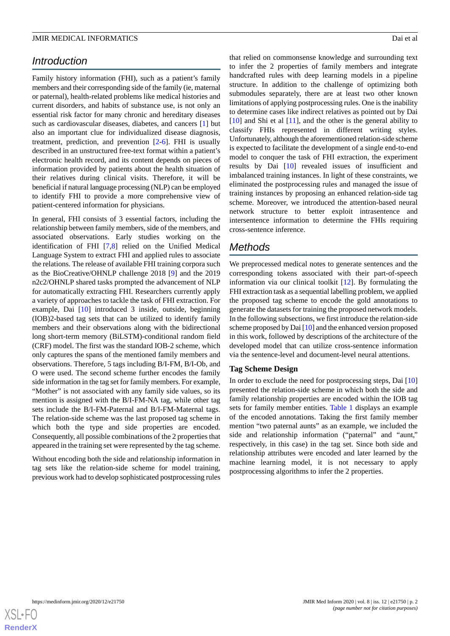# *Introduction*

Family history information (FHI), such as a patient's family members and their corresponding side of the family (ie, maternal or paternal), health-related problems like medical histories and current disorders, and habits of substance use, is not only an essential risk factor for many chronic and hereditary diseases such as cardiovascular diseases, diabetes, and cancers [[1\]](#page-8-0) but also an important clue for individualized disease diagnosis, treatment, prediction, and prevention [[2](#page-8-1)[-6](#page-8-2)]. FHI is usually described in an unstructured free-text format within a patient's electronic health record, and its content depends on pieces of information provided by patients about the health situation of their relatives during clinical visits. Therefore, it will be beneficial if natural language processing (NLP) can be employed to identify FHI to provide a more comprehensive view of patient-centered information for physicians.

In general, FHI consists of 3 essential factors, including the relationship between family members, side of the members, and associated observations. Early studies working on the identification of FHI [\[7](#page-8-3),[8](#page-8-4)] relied on the Unified Medical Language System to extract FHI and applied rules to associate the relations. The release of available FHI training corpora such as the BioCreative/OHNLP challenge 2018 [\[9](#page-8-5)] and the 2019 n2c2/OHNLP shared tasks prompted the advancement of NLP for automatically extracting FHI. Researchers currently apply a variety of approaches to tackle the task of FHI extraction. For example, Dai [[10\]](#page-8-6) introduced 3 inside, outside, beginning (IOB)2-based tag sets that can be utilized to identify family members and their observations along with the bidirectional long short-term memory (BiLSTM)-conditional random field (CRF) model. The first was the standard IOB-2 scheme, which only captures the spans of the mentioned family members and observations. Therefore, 5 tags including B/I-FM, B/I-Ob, and O were used. The second scheme further encodes the family side information in the tag set for family members. For example, "Mother" is not associated with any family side values, so its mention is assigned with the B/I-FM-NA tag, while other tag sets include the B/I-FM-Paternal and B/I-FM-Maternal tags. The relation-side scheme was the last proposed tag scheme in which both the type and side properties are encoded. Consequently, all possible combinations of the 2 properties that appeared in the training set were represented by the tag scheme.

Without encoding both the side and relationship information in tag sets like the relation-side scheme for model training, previous work had to develop sophisticated postprocessing rules that relied on commonsense knowledge and surrounding text to infer the 2 properties of family members and integrate handcrafted rules with deep learning models in a pipeline structure. In addition to the challenge of optimizing both submodules separately, there are at least two other known limitations of applying postprocessing rules. One is the inability to determine cases like indirect relatives as pointed out by Dai [[10\]](#page-8-6) and Shi et al [\[11](#page-8-7)], and the other is the general ability to classify FHIs represented in different writing styles. Unfortunately, although the aforementioned relation-side scheme is expected to facilitate the development of a single end-to-end model to conquer the task of FHI extraction, the experiment results by Dai [[10\]](#page-8-6) revealed issues of insufficient and imbalanced training instances. In light of these constraints, we eliminated the postprocessing rules and managed the issue of training instances by proposing an enhanced relation-side tag scheme. Moreover, we introduced the attention-based neural network structure to better exploit intrasentence and intersentence information to determine the FHIs requiring cross-sentence inference.

# *Methods*

We preprocessed medical notes to generate sentences and the corresponding tokens associated with their part-of-speech information via our clinical toolkit [\[12](#page-8-8)]. By formulating the FHI extraction task as a sequential labelling problem, we applied the proposed tag scheme to encode the gold annotations to generate the datasets for training the proposed network models. In the following subsections, we first introduce the relation-side scheme proposed by Dai [\[10](#page-8-6)] and the enhanced version proposed in this work, followed by descriptions of the architecture of the developed model that can utilize cross-sentence information via the sentence-level and document-level neural attentions.

#### **Tag Scheme Design**

In order to exclude the need for postprocessing steps, Dai [\[10](#page-8-6)] presented the relation-side scheme in which both the side and family relationship properties are encoded within the IOB tag sets for family member entities. [Table 1](#page-2-0) displays an example of the encoded annotations. Taking the first family member mention "two paternal aunts" as an example, we included the side and relationship information ("paternal" and "aunt," respectively, in this case) in the tag set. Since both side and relationship attributes were encoded and later learned by the machine learning model, it is not necessary to apply postprocessing algorithms to infer the 2 properties.

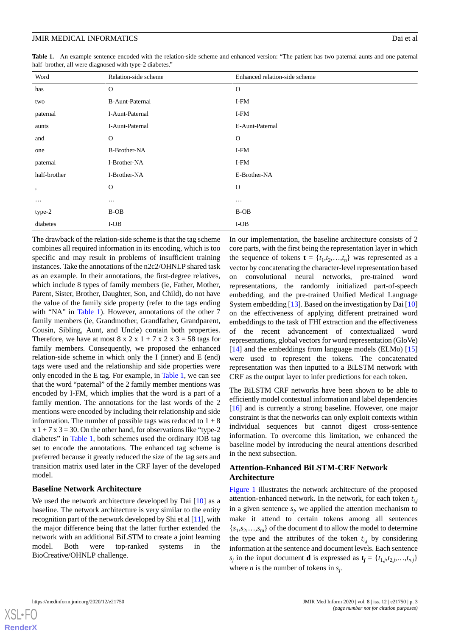<span id="page-2-0"></span>**Table 1.** An example sentence encoded with the relation-side scheme and enhanced version: "The patient has two paternal aunts and one paternal half–brother, all were diagnosed with type-2 diabetes."

| Word         | Relation-side scheme   | Enhanced relation-side scheme |
|--------------|------------------------|-------------------------------|
| has          | $\mathbf{O}$           | $\mathbf{O}$                  |
| two          | <b>B-Aunt-Paternal</b> | I-FM                          |
| paternal     | I-Aunt-Paternal        | I-FM                          |
| aunts        | I-Aunt-Paternal        | E-Aunt-Paternal               |
| and          | $\mathbf{O}$           | $\mathbf{O}$                  |
| one          | <b>B-Brother-NA</b>    | I-FM                          |
| paternal     | I-Brother-NA           | I-FM                          |
| half-brother | I-Brother-NA           | E-Brother-NA                  |
| $\,$         | $\mathbf{O}$           | $\mathbf 0$                   |
| $\cdots$     | $\cdots$               | $\cdots$                      |
| type-2       | B-OB                   | B-OB                          |
| diabetes     | $I-OB$                 | $I-OB$                        |

The drawback of the relation-side scheme is that the tag scheme combines all required information in its encoding, which is too specific and may result in problems of insufficient training instances. Take the annotations of the n2c2/OHNLP shared task as an example. In their annotations, the first-degree relatives, which include 8 types of family members (ie, Father, Mother, Parent, Sister, Brother, Daughter, Son, and Child), do not have the value of the family side property (refer to the tags ending with "NA" in [Table 1](#page-2-0)). However, annotations of the other 7 family members (ie, Grandmother, Grandfather, Grandparent, Cousin, Sibling, Aunt, and Uncle) contain both properties. Therefore, we have at most  $8 \times 2 \times 1 + 7 \times 2 \times 3 = 58$  tags for family members. Consequently, we proposed the enhanced relation-side scheme in which only the I (inner) and E (end) tags were used and the relationship and side properties were only encoded in the E tag. For example, in [Table 1,](#page-2-0) we can see that the word "paternal" of the 2 family member mentions was encoded by I-FM, which implies that the word is a part of a family mention. The annotations for the last words of the 2 mentions were encoded by including their relationship and side information. The number of possible tags was reduced to  $1 + 8$  $x 1 + 7 x 3 = 30$ . On the other hand, for observations like "type-2" diabetes" in [Table 1](#page-2-0), both schemes used the ordinary IOB tag set to encode the annotations. The enhanced tag scheme is preferred because it greatly reduced the size of the tag sets and transition matrix used later in the CRF layer of the developed model.

#### **Baseline Network Architecture**

We used the network architecture developed by Dai [\[10](#page-8-6)] as a baseline. The network architecture is very similar to the entity recognition part of the network developed by Shi et al [\[11](#page-8-7)], with the major difference being that the latter further extended the network with an additional BiLSTM to create a joint learning model. Both were top-ranked systems in the BioCreative/OHNLP challenge.

In our implementation, the baseline architecture consists of 2 core parts, with the first being the representation layer in which the sequence of tokens  $\mathbf{t} = \{t_1, t_2, \dots, t_n\}$  was represented as a vector by concatenating the character-level representation based on convolutional neural networks, pre-trained word representations, the randomly initialized part-of-speech embedding, and the pre-trained Unified Medical Language System embedding [[13\]](#page-8-9). Based on the investigation by Dai [\[10](#page-8-6)] on the effectiveness of applying different pretrained word embeddings to the task of FHI extraction and the effectiveness of the recent advancement of contextualized word representations, global vectors for word representation (GloVe) [[14\]](#page-8-10) and the embeddings from language models (ELMo) [\[15](#page-8-11)] were used to represent the tokens. The concatenated representation was then inputted to a BiLSTM network with CRF as the output layer to infer predictions for each token.

The BiLSTM CRF networks have been shown to be able to efficiently model contextual information and label dependencies [[16\]](#page-8-12) and is currently a strong baseline. However, one major constraint is that the networks can only exploit contexts within individual sequences but cannot digest cross-sentence information. To overcome this limitation, we enhanced the baseline model by introducing the neural attentions described in the next subsection.

# **Attention-Enhanced BiLSTM-CRF Network Architecture**

[Figure 1](#page-3-0) illustrates the network architecture of the proposed attention-enhanced network. In the network, for each token *t i,j* in a given sentence *s<sup>j</sup>* , we applied the attention mechanism to make it attend to certain tokens among all sentences  ${s_1, s_2, \ldots, s_m}$  of the document **d** to allow the model to determine the type and the attributes of the token  $t_{i,j}$  by considering information at the sentence and document levels. Each sentence  $s_j$  in the input document **d** is expressed as  $\mathbf{t}_j = \{t_{1,j}, t_{2,j}, \ldots, t_{n,j}\}$ where *n* is the number of tokens in  $s_j$ .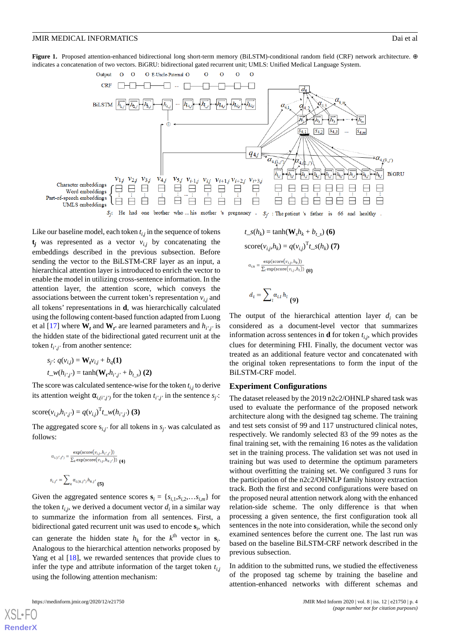<span id="page-3-0"></span>**Figure 1.** Proposed attention-enhanced bidirectional long short-term memory (BiLSTM)-conditional random field (CRF) network architecture. ⊕ indicates a concatenation of two vectors. BiGRU: bidirectional gated recurrent unit; UMLS: Unified Medical Language System.



Like our baseline model, each token *t i,j* in the sequence of tokens  $t_j$  was represented as a vector  $v_{i,j}$  by concatenating the embeddings described in the previous subsection. Before sending the vector to the BiLSTM-CRF layer as an input, a hierarchical attention layer is introduced to enrich the vector to enable the model in utilizing cross-sentence information. In the attention layer, the attention score, which conveys the associations between the current token's representation  $v_{i,j}$  and all tokens' representations in **d**, was hierarchically calculated using the following content-based function adapted from Luong et al [[17\]](#page-8-13) where  $W_t$  and  $W_t$ <sup>*f*</sup> are learned parameters and  $h_{i',j'}$  is the hidden state of the bidirectional gated recurrent unit at the token *t i',j'* from another sentence:

$$
s_j: q(v_{i,j}) = \mathbf{W}_t v_{i,j} + b_q(\mathbf{1})
$$
  

$$
t_{\perp} w(h_{i',j'}) = \tanh(\mathbf{W}_t h_{i',j'} + b_{t,s})
$$
 (2)

The score was calculated sentence-wise for the token *t i,j* to derive its attention weight  $\alpha_{i,(i',j')}$  for the token  $t_{i',j'}$  in the sentence  $s_j$ :

score
$$
(v_{i,j}, h_{i',j'}) = q(v_{i,j})^T t_w(h_{i',j'})
$$
 (3)

The aggregated score  $s_{i,j'}$  for all tokens in  $s_{i'}$  was calculated as follows:

$$
\alpha_{L(l',j')} = \frac{\exp(\text{score}(v_{i,j}, h_{i',j'}))}{\sum_{k} \exp(\text{score}(v_{i,j}, h_{k,j'}))}
$$
 (4)  

$$
s_{i,j'} = \sum_{k} \alpha_{L(k,j')} h_{k,j'} \text{ (5)}
$$

Given the aggregated sentence scores  $\mathbf{s}_i = \{s_{i,1}, s_{i,2}, \ldots, s_{i,m}\}\)$  for the token  $t_{i,j}$ , we derived a document vector  $d_i$  in a similar way to summarize the information from all sentences. First, a bidirectional gated recurrent unit was used to encode **s***<sup>i</sup>* , which can generate the hidden state  $h_k$  for the  $k^{\text{th}}$  vector in  $s_i$ . Analogous to the hierarchical attention networks proposed by Yang et al [\[18](#page-8-14)], we rewarded sentences that provide clues to infer the type and attribute information of the target token *t i,j* using the following attention mechanism:

```
the original token representations to form the input of the
BiLSTM-CRF model.
Experiment Configurations
```
 $t\_s(h_k) = \tanh(\mathbf{W}_s h_k + b_{t\_s})$  (6) score( $v_{i,j}, h_k$ ) =  $q(v_{i,j})^T t_s(h_k)$  (7)

 $\alpha_{i,k} = \frac{\exp(\text{score}(v_{i,j}, h_k))}{\sum_l \exp(\text{score}(v_{i,j}, h_l))}$ 

 $d_i = \sum_{l} \alpha_{i,l} h_l$  (9)

The dataset released by the 2019 n2c2/OHNLP shared task was used to evaluate the performance of the proposed network architecture along with the designed tag scheme. The training and test sets consist of 99 and 117 unstructured clinical notes, respectively. We randomly selected 83 of the 99 notes as the final training set, with the remaining 16 notes as the validation set in the training process. The validation set was not used in training but was used to determine the optimum parameters without overfitting the training set. We configured 3 runs for the participation of the n2c2/OHNLP family history extraction track. Both the first and second configurations were based on the proposed neural attention network along with the enhanced relation-side scheme. The only difference is that when processing a given sentence, the first configuration took all sentences in the note into consideration, while the second only examined sentences before the current one. The last run was based on the baseline BiLSTM-CRF network described in the previous subsection.

The output of the hierarchical attention layer  $d_i$  can be considered as a document-level vector that summarizes information across sentences in **d** for token *t i,j*, which provides clues for determining FHI. Finally, the document vector was treated as an additional feature vector and concatenated with

In addition to the submitted runs, we studied the effectiveness of the proposed tag scheme by training the baseline and attention-enhanced networks with different schemas and

[XSL](http://www.w3.org/Style/XSL)•FO **[RenderX](http://www.renderx.com/)**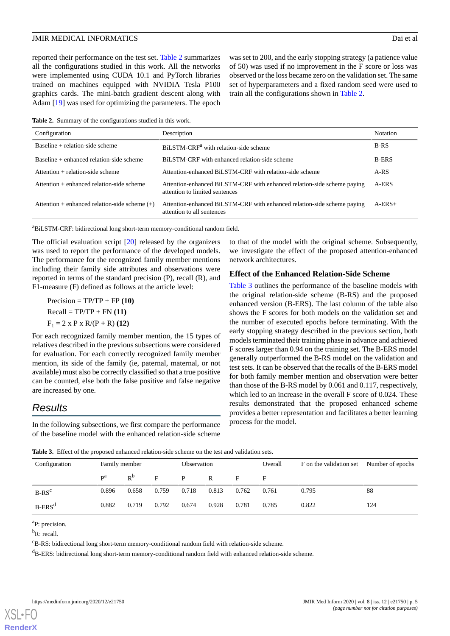reported their performance on the test set. [Table 2](#page-4-0) summarizes all the configurations studied in this work. All the networks were implemented using CUDA 10.1 and PyTorch libraries trained on machines equipped with NVIDIA Tesla P100 graphics cards. The mini-batch gradient descent along with Adam [[19\]](#page-8-15) was used for optimizing the parameters. The epoch

<span id="page-4-0"></span>**Table 2.** Summary of the configurations studied in this work.

| Configuration                                   | Description                                                                                               | <b>Notation</b> |
|-------------------------------------------------|-----------------------------------------------------------------------------------------------------------|-----------------|
| Baseline $+$ relation-side scheme               | BiLSTM-CRF <sup>a</sup> with relation-side scheme                                                         | $B-RS$          |
| Baseline $+$ enhanced relation-side scheme      | BiLSTM-CRF with enhanced relation-side scheme                                                             | <b>B-ERS</b>    |
| Attention + relation-side scheme                | Attention-enhanced BiLSTM-CRF with relation-side scheme                                                   | A-RS            |
| Attention + enhanced relation-side scheme       | Attention-enhanced BiLSTM-CRF with enhanced relation-side scheme paying<br>attention to limited sentences | A-ERS           |
| Attention + enhanced relation-side scheme $(+)$ | Attention-enhanced BiLSTM-CRF with enhanced relation-side scheme paying<br>attention to all sentences     | $A$ -ERS+       |

<sup>a</sup>BiLSTM-CRF: bidirectional long short-term memory-conditional random field.

The official evaluation script [[20\]](#page-8-16) released by the organizers was used to report the performance of the developed models. The performance for the recognized family member mentions including their family side attributes and observations were reported in terms of the standard precision (P), recall (R), and F1-measure (F) defined as follows at the article level:

 $Precision = TP/TP + FP (10)$  $Recall = TP/TP + FN (11)$  $F_1 = 2 \times P \times R/(P + R)$  **(12)** 

For each recognized family member mention, the 15 types of relatives described in the previous subsections were considered for evaluation. For each correctly recognized family member mention, its side of the family (ie, paternal, maternal, or not available) must also be correctly classified so that a true positive can be counted, else both the false positive and false negative are increased by one.

# <span id="page-4-1"></span>*Results*

In the following subsections, we first compare the performance of the baseline model with the enhanced relation-side scheme

to that of the model with the original scheme. Subsequently, we investigate the effect of the proposed attention-enhanced network architectures.

was set to 200, and the early stopping strategy (a patience value of 50) was used if no improvement in the F score or loss was observed or the loss became zero on the validation set. The same set of hyperparameters and a fixed random seed were used to

train all the configurations shown in [Table 2.](#page-4-0)

# **Effect of the Enhanced Relation-Side Scheme**

[Table 3](#page-4-1) outlines the performance of the baseline models with the original relation-side scheme (B-RS) and the proposed enhanced version (B-ERS). The last column of the table also shows the F scores for both models on the validation set and the number of executed epochs before terminating. With the early stopping strategy described in the previous section, both models terminated their training phase in advance and achieved F scores larger than 0.94 on the training set. The B-ERS model generally outperformed the B-RS model on the validation and test sets. It can be observed that the recalls of the B-ERS model for both family member mention and observation were better than those of the B-RS model by 0.061 and 0.117, respectively, which led to an increase in the overall F score of 0.024. These results demonstrated that the proposed enhanced scheme provides a better representation and facilitates a better learning process for the model.

|  |  | Table 3. Effect of the proposed enhanced relation-side scheme on the test and validation sets. |  |  |
|--|--|------------------------------------------------------------------------------------------------|--|--|
|--|--|------------------------------------------------------------------------------------------------|--|--|

| Configuration | Family member           |       |       | Observation |              |       | Overall | F on the validation set Number of epochs |     |  |  |
|---------------|-------------------------|-------|-------|-------------|--------------|-------|---------|------------------------------------------|-----|--|--|
|               | $\mathbf{p}^{\text{a}}$ | $R^b$ | F     | P           | $\mathbb{R}$ | Е     | F       |                                          |     |  |  |
| $B-RS^c$      | 0.896                   | 0.658 | 0.759 | 0.718       | 0.813        | 0.762 | 0.761   | 0.795                                    | 88  |  |  |
| $B-ERSd$      | 0.882                   | 0.719 | 0.792 | 0.674       | 0.928        | 0.781 | 0.785   | 0.822                                    | 124 |  |  |

<sup>a</sup>P: precision.

 ${}^{\text{b}}\text{R}$ : recall.

<sup>c</sup>B-RS: bidirectional long short-term memory-conditional random field with relation-side scheme.

<sup>d</sup>B-ERS: bidirectional long short-term memory-conditional random field with enhanced relation-side scheme.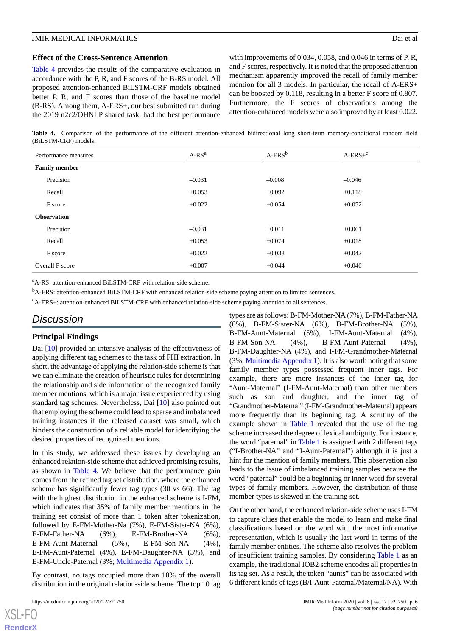#### **Effect of the Cross-Sentence Attention**

[Table 4](#page-5-0) provides the results of the comparative evaluation in accordance with the P, R, and F scores of the B-RS model. All proposed attention-enhanced BiLSTM-CRF models obtained better P, R, and F scores than those of the baseline model (B-RS). Among them, A-ERS+, our best submitted run during the 2019 n2c2/OHNLP shared task, had the best performance

with improvements of 0.034, 0.058, and 0.046 in terms of P, R, and F scores, respectively. It is noted that the proposed attention mechanism apparently improved the recall of family member mention for all 3 models. In particular, the recall of A-ERS+ can be boosted by 0.118, resulting in a better F score of 0.807. Furthermore, the F scores of observations among the attention-enhanced models were also improved by at least 0.022.

<span id="page-5-0"></span>**Table 4.** Comparison of the performance of the different attention-enhanced bidirectional long short-term memory-conditional random field (BiLSTM-CRF) models.

| Performance measures | $A-RSa$  | $A-ERS^b$ | $A-ERS+^c$ |  |  |  |
|----------------------|----------|-----------|------------|--|--|--|
| <b>Family member</b> |          |           |            |  |  |  |
| Precision            | $-0.031$ | $-0.008$  | $-0.046$   |  |  |  |
| Recall               | $+0.053$ | $+0.092$  | $+0.118$   |  |  |  |
| F score              | $+0.022$ | $+0.054$  | $+0.052$   |  |  |  |
| <b>Observation</b>   |          |           |            |  |  |  |
| Precision            | $-0.031$ | $+0.011$  | $+0.061$   |  |  |  |
| Recall               | $+0.053$ | $+0.074$  | $+0.018$   |  |  |  |
| F score              | $+0.022$ | $+0.038$  | $+0.042$   |  |  |  |
| Overall F score      | $+0.007$ | $+0.044$  | $+0.046$   |  |  |  |

<sup>a</sup>A-RS: attention-enhanced BiLSTM-CRF with relation-side scheme.

<sup>b</sup>A-ERS: attention-enhanced BiLSTM-CRF with enhanced relation-side scheme paying attention to limited sentences.

<sup>c</sup>A-ERS+: attention-enhanced BiLSTM-CRF with enhanced relation-side scheme paying attention to all sentences.

# *Discussion*

#### **Principal Findings**

Dai [\[10](#page-8-6)] provided an intensive analysis of the effectiveness of applying different tag schemes to the task of FHI extraction. In short, the advantage of applying the relation-side scheme is that we can eliminate the creation of heuristic rules for determining the relationship and side information of the recognized family member mentions, which is a major issue experienced by using standard tag schemes. Nevertheless, Dai [[10\]](#page-8-6) also pointed out that employing the scheme could lead to sparse and imbalanced training instances if the released dataset was small, which hinders the construction of a reliable model for identifying the desired properties of recognized mentions.

In this study, we addressed these issues by developing an enhanced relation-side scheme that achieved promising results, as shown in [Table 4.](#page-5-0) We believe that the performance gain comes from the refined tag set distribution, where the enhanced scheme has significantly fewer tag types (30 vs 66). The tag with the highest distribution in the enhanced scheme is I-FM, which indicates that 35% of family member mentions in the training set consist of more than 1 token after tokenization, followed by E-FM-Mother-Na (7%), E-FM-Sister-NA (6%), E-FM-Father-NA (6%), E-FM-Brother-NA (6%), E-FM-Aunt-Maternal (5%), E-FM-Son-NA (4%), E-FM-Aunt-Paternal (4%), E-FM-Daughter-NA (3%), and E-FM-Uncle-Paternal (3%; [Multimedia Appendix 1](#page-7-0)).

By contrast, no tags occupied more than 10% of the overall distribution in the original relation-side scheme. The top 10 tag

types are as follows: B-FM-Mother-NA (7%), B-FM-Father-NA (6%), B-FM-Sister-NA (6%), B-FM-Brother-NA (5%), B-FM-Aunt-Maternal (5%), I-FM-Aunt-Maternal (4%), B-FM-Son-NA (4%), B-FM-Aunt-Paternal (4%), B-FM-Daughter-NA (4%), and I-FM-Grandmother-Maternal (3%; [Multimedia Appendix 1\)](#page-7-0). It is also worth noting that some family member types possessed frequent inner tags. For example, there are more instances of the inner tag for "Aunt-Maternal" (I-FM-Aunt-Maternal) than other members such as son and daughter, and the inner tag of "Grandmother-Maternal" (I-FM-Grandmother-Maternal) appears more frequently than its beginning tag. A scrutiny of the example shown in [Table 1](#page-2-0) revealed that the use of the tag scheme increased the degree of lexical ambiguity. For instance, the word "paternal" in [Table 1](#page-2-0) is assigned with 2 different tags ("I-Brother-NA" and "I-Aunt-Paternal") although it is just a hint for the mention of family members. This observation also leads to the issue of imbalanced training samples because the word "paternal" could be a beginning or inner word for several types of family members. However, the distribution of those member types is skewed in the training set.

On the other hand, the enhanced relation-side scheme uses I-FM to capture clues that enable the model to learn and make final classifications based on the word with the most informative representation, which is usually the last word in terms of the family member entities. The scheme also resolves the problem of insufficient training samples. By considering [Table 1](#page-2-0) as an example, the traditional IOB2 scheme encodes all properties in its tag set. As a result, the token "aunts" can be associated with 6 different kinds of tags (B/I-Aunt-Paternal/Maternal/NA). With

 $XSI - F($ **[RenderX](http://www.renderx.com/)**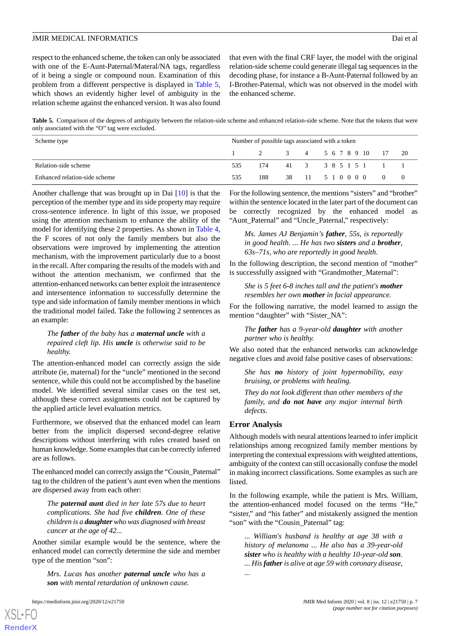respect to the enhanced scheme, the token can only be associated with one of the E-Aunt-Paternal/Materal/NA tags, regardless of it being a single or compound noun. Examination of this problem from a different perspective is displayed in [Table 5](#page-6-0), which shows an evidently higher level of ambiguity in the relation scheme against the enhanced version. It was also found

that even with the final CRF layer, the model with the original relation-side scheme could generate illegal tag sequences in the decoding phase, for instance a B-Aunt-Paternal followed by an I-Brother-Paternal, which was not observed in the model with the enhanced scheme.

<span id="page-6-0"></span>**Table 5.** Comparison of the degrees of ambiguity between the relation-side scheme and enhanced relation-side scheme. Note that the tokens that were only associated with the "O" tag were excluded.

| Scheme type                   | Number of possible tags associated with a token |                          |  |                       |  |  |  |  |  |  |  |  |
|-------------------------------|-------------------------------------------------|--------------------------|--|-----------------------|--|--|--|--|--|--|--|--|
|                               | 1 2 3 4 5 6 7 8 9 10 17 20                      |                          |  |                       |  |  |  |  |  |  |  |  |
| Relation-side scheme          | 535                                             | 174 41 3 3 8 5 1 5 1 1 1 |  |                       |  |  |  |  |  |  |  |  |
| Enhanced relation-side scheme | 535                                             |                          |  | 38 11 5 1 0 0 0 0 0 0 |  |  |  |  |  |  |  |  |

Another challenge that was brought up in Dai [\[10](#page-8-6)] is that the perception of the member type and its side property may require cross-sentence inference. In light of this issue, we proposed using the attention mechanism to enhance the ability of the model for identifying these 2 properties. As shown in [Table 4](#page-5-0), the F scores of not only the family members but also the observations were improved by implementing the attention mechanism, with the improvement particularly due to a boost in the recall. After comparing the results of the models with and without the attention mechanism, we confirmed that the attention-enhanced networks can better exploit the intrasentence and intersentence information to successfully determine the type and side information of family member mentions in which the traditional model failed. Take the following 2 sentences as an example:

#### *The father of the baby has a maternal uncle with a repaired cleft lip. His uncle is otherwise said to be healthy.*

The attention-enhanced model can correctly assign the side attribute (ie, maternal) for the "uncle" mentioned in the second sentence, while this could not be accomplished by the baseline model. We identified several similar cases on the test set, although these correct assignments could not be captured by the applied article level evaluation metrics.

Furthermore, we observed that the enhanced model can learn better from the implicit dispersed second-degree relative descriptions without interfering with rules created based on human knowledge. Some examples that can be correctly inferred are as follows.

The enhanced model can correctly assign the "Cousin\_Paternal" tag to the children of the patient's aunt even when the mentions are dispersed away from each other:

*The paternal aunt died in her late 57s due to heart complications. She had five children. One of these children is a daughter who was diagnosed with breast cancer at the age of 42...*

Another similar example would be the sentence, where the enhanced model can correctly determine the side and member type of the mention "son":

*Mrs. Lucas has another paternal uncle who has a son with mental retardation of unknown cause.*

For the following sentence, the mentions "sisters" and "brother" within the sentence located in the later part of the document can be correctly recognized by the enhanced model as "Aunt Paternal" and "Uncle Paternal," respectively:

*Ms. James AJ Benjamin's father, 55s, is reportedly in good health. ... He has two sisters and a brother, 63s–71s, who are reportedly in good health.*

In the following description, the second mention of "mother" is successfully assigned with "Grandmother\_Maternal":

#### *She is 5 feet 6-8 inches tall and the patient's mother resembles her own mother in facial appearance.*

For the following narrative, the model learned to assign the mention "daughter" with "Sister\_NA":

#### *The father has a 9-year-old daughter with another partner who is healthy.*

We also noted that the enhanced networks can acknowledge negative clues and avoid false positive cases of observations:

*She has no history of joint hypermobility, easy bruising, or problems with healing.*

*They do not look different than other members of the family, and do not have any major internal birth defects.*

#### **Error Analysis**

Although models with neural attentions learned to infer implicit relationships among recognized family member mentions by interpreting the contextual expressions with weighted attentions, ambiguity of the context can still occasionally confuse the model in making incorrect classifications. Some examples as such are listed.

In the following example, while the patient is Mrs. William, the attention-enhanced model focused on the terms "He," "sister," and "his father" and mistakenly assigned the mention "son" with the "Cousin\_Paternal" tag:

*... William's husband is healthy at age 38 with a history of melanoma ... He also has a 39-year-old sister who is healthy with a healthy 10-year-old son. ... His fatheris alive at age 59 with coronary disease, ...*

[XSL](http://www.w3.org/Style/XSL)•FO **[RenderX](http://www.renderx.com/)**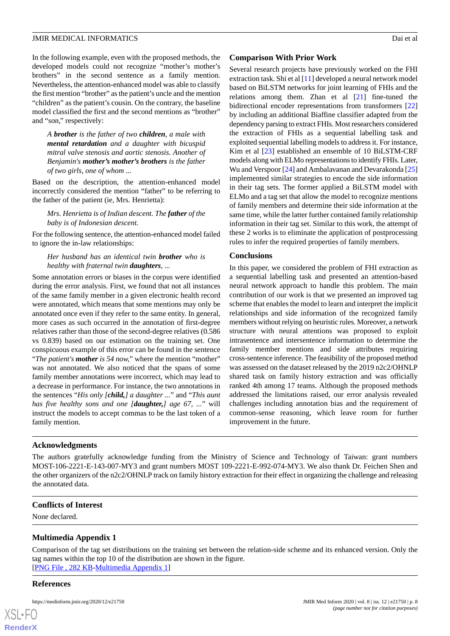In the following example, even with the proposed methods, the developed models could not recognize "mother's mother's brothers" in the second sentence as a family mention. Nevertheless, the attention-enhanced model was able to classify the first mention "brother" as the patient's uncle and the mention "children" as the patient's cousin. On the contrary, the baseline model classified the first and the second mentions as "brother" and "son," respectively:

*A brother is the father of two children, a male with mental retardation and a daughter with bicuspid mitral valve stenosis and aortic stenosis. Another of Benjamin's mother's mother's brothers is the father of two girls, one of whom ...*

Based on the description, the attention-enhanced model incorrectly considered the mention "father" to be referring to the father of the patient (ie, Mrs. Henrietta):

*Mrs. Henrietta is of Indian descent. The father of the baby is of Indonesian descent.*

For the following sentence*,*the attention-enhanced model failed to ignore the in-law relationships:

#### *Her husband has an identical twin brother who is healthy with fraternal twin daughters, ...*

Some annotation errors or biases in the corpus were identified during the error analysis. First, we found that not all instances of the same family member in a given electronic health record were annotated, which means that some mentions may only be annotated once even if they refer to the same entity. In general, more cases as such occurred in the annotation of first-degree relatives rather than those of the second-degree relatives (0.586 vs 0.839) based on our estimation on the training set. One conspicuous example of this error can be found in the sentence "*The patient's mother is 54 now,*" where the mention "mother" was not annotated. We also noticed that the spans of some family member annotations were incorrect, which may lead to a decrease in performance. For instance, the two annotations in the sentences "*His only [child,] a daughter ...*" and "*This aunt has five healthy sons and one [daughter,] age 67, ...*" will instruct the models to accept commas to be the last token of a family mention.

## **Comparison With Prior Work**

Several research projects have previously worked on the FHI extraction task. Shi et al [\[11](#page-8-7)] developed a neural network model based on BiLSTM networks for joint learning of FHIs and the relations among them. Zhan et al [\[21](#page-8-17)] fine-tuned the bidirectional encoder representations from transformers [\[22](#page-8-18)] by including an additional Biaffine classifier adapted from the dependency parsing to extract FHIs. Most researchers considered the extraction of FHIs as a sequential labelling task and exploited sequential labelling models to address it. For instance, Kim et al [[23\]](#page-9-0) established an ensemble of 10 BiLSTM-CRF models along with ELMo representations to identify FHIs. Later, Wu and Verspoor [[24\]](#page-9-1) and Ambalavanan and Devarakonda [\[25](#page-9-2)] implemented similar strategies to encode the side information in their tag sets. The former applied a BiLSTM model with ELMo and a tag set that allow the model to recognize mentions of family members and determine their side information at the same time, while the latter further contained family relationship information in their tag set. Similar to this work, the attempt of these 2 works is to eliminate the application of postprocessing rules to infer the required properties of family members.

## **Conclusions**

In this paper, we considered the problem of FHI extraction as a sequential labelling task and presented an attention-based neural network approach to handle this problem. The main contribution of our work is that we presented an improved tag scheme that enables the model to learn and interpret the implicit relationships and side information of the recognized family members without relying on heuristic rules. Moreover, a network structure with neural attentions was proposed to exploit intrasentence and intersentence information to determine the family member mentions and side attributes requiring cross-sentence inference. The feasibility of the proposed method was assessed on the dataset released by the 2019 n2c2/OHNLP shared task on family history extraction and was officially ranked 4th among 17 teams. Although the proposed methods addressed the limitations raised, our error analysis revealed challenges including annotation bias and the requirement of common-sense reasoning, which leave room for further improvement in the future.

# **Acknowledgments**

The authors gratefully acknowledge funding from the Ministry of Science and Technology of Taiwan: grant numbers MOST-106-2221-E-143-007-MY3 and grant numbers MOST 109-2221-E-992-074-MY3. We also thank Dr. Feichen Shen and the other organizers of the n2c2/OHNLP track on family history extraction for their effect in organizing the challenge and releasing the annotated data.

#### <span id="page-7-0"></span>**Conflicts of Interest**

None declared.

# **Multimedia Appendix 1**

Comparison of the tag set distributions on the training set between the relation-side scheme and its enhanced version. Only the tag names within the top 10 of the distribution are shown in the figure. [[PNG File , 282 KB-Multimedia Appendix 1](https://jmir.org/api/download?alt_name=medinform_v8i12e21750_app1.png&filename=1f6709204ca1bc39446ffe3d4cba9dcd.png)]

#### **References**

```
XS-FO
RenderX
```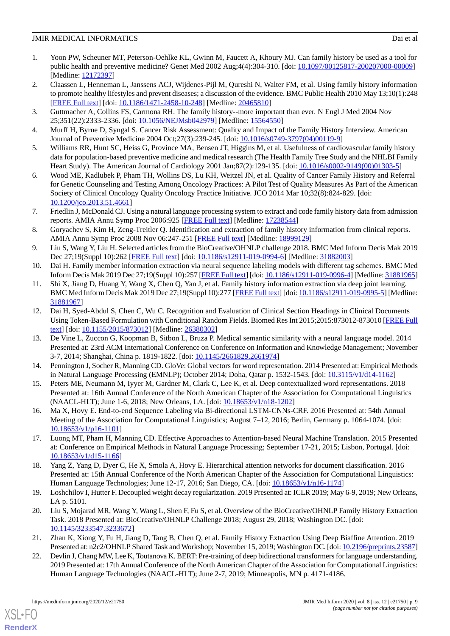- <span id="page-8-0"></span>1. Yoon PW, Scheuner MT, Peterson-Oehlke KL, Gwinn M, Faucett A, Khoury MJ. Can family history be used as a tool for public health and preventive medicine? Genet Med 2002 Aug;4(4):304-310. [doi: [10.1097/00125817-200207000-00009](http://dx.doi.org/10.1097/00125817-200207000-00009)] [Medline: [12172397](http://www.ncbi.nlm.nih.gov/entrez/query.fcgi?cmd=Retrieve&db=PubMed&list_uids=12172397&dopt=Abstract)]
- <span id="page-8-1"></span>2. Claassen L, Henneman L, Janssens ACJ, Wijdenes-Pijl M, Qureshi N, Walter FM, et al. Using family history information to promote healthy lifestyles and prevent diseases; a discussion of the evidence. BMC Public Health 2010 May 13;10(1):248 [[FREE Full text](https://bmcpublichealth.biomedcentral.com/articles/10.1186/1471-2458-10-248)] [doi: [10.1186/1471-2458-10-248\]](http://dx.doi.org/10.1186/1471-2458-10-248) [Medline: [20465810\]](http://www.ncbi.nlm.nih.gov/entrez/query.fcgi?cmd=Retrieve&db=PubMed&list_uids=20465810&dopt=Abstract)
- 3. Guttmacher A, Collins FS, Carmona RH. The family history--more important than ever. N Engl J Med 2004 Nov 25;351(22):2333-2336. [doi: [10.1056/NEJMsb042979\]](http://dx.doi.org/10.1056/NEJMsb042979) [Medline: [15564550\]](http://www.ncbi.nlm.nih.gov/entrez/query.fcgi?cmd=Retrieve&db=PubMed&list_uids=15564550&dopt=Abstract)
- 4. Murff H, Byrne D, Syngal S. Cancer Risk Assessment: Quality and Impact of the Family History Interview. American Journal of Preventive Medicine 2004 Oct;27(3):239-245. [doi: [10.1016/s0749-3797\(04\)00119-9](http://dx.doi.org/10.1016/s0749-3797(04)00119-9)]
- <span id="page-8-2"></span>5. Williams RR, Hunt SC, Heiss G, Province MA, Bensen JT, Higgins M, et al. Usefulness of cardiovascular family history data for population-based preventive medicine and medical research (The Health Family Tree Study and the NHLBI Family Heart Study). The American Journal of Cardiology 2001 Jan;87(2):129-135. [doi: [10.1016/s0002-9149\(00\)01303-5](http://dx.doi.org/10.1016/s0002-9149(00)01303-5)]
- <span id="page-8-3"></span>6. Wood ME, Kadlubek P, Pham TH, Wollins DS, Lu KH, Weitzel JN, et al. Quality of Cancer Family History and Referral for Genetic Counseling and Testing Among Oncology Practices: A Pilot Test of Quality Measures As Part of the American Society of Clinical Oncology Quality Oncology Practice Initiative. JCO 2014 Mar 10;32(8):824-829. [doi: [10.1200/jco.2013.51.4661\]](http://dx.doi.org/10.1200/jco.2013.51.4661)
- <span id="page-8-4"></span>7. Friedlin J, McDonald CJ. Using a natural language processing system to extract and code family history data from admission reports. AMIA Annu Symp Proc 2006:925 [\[FREE Full text\]](http://europepmc.org/abstract/MED/17238544) [Medline: [17238544\]](http://www.ncbi.nlm.nih.gov/entrez/query.fcgi?cmd=Retrieve&db=PubMed&list_uids=17238544&dopt=Abstract)
- <span id="page-8-5"></span>8. Goryachev S, Kim H, Zeng-Treitler Q. Identification and extraction of family history information from clinical reports. AMIA Annu Symp Proc 2008 Nov 06:247-251 [\[FREE Full text\]](http://europepmc.org/abstract/MED/18999129) [Medline: [18999129](http://www.ncbi.nlm.nih.gov/entrez/query.fcgi?cmd=Retrieve&db=PubMed&list_uids=18999129&dopt=Abstract)]
- <span id="page-8-7"></span><span id="page-8-6"></span>9. Liu S, Wang Y, Liu H. Selected articles from the BioCreative/OHNLP challenge 2018. BMC Med Inform Decis Mak 2019 Dec 27;19(Suppl 10):262 [\[FREE Full text](https://bmcmedinformdecismak.biomedcentral.com/articles/10.1186/s12911-019-0994-6)] [doi: [10.1186/s12911-019-0994-6\]](http://dx.doi.org/10.1186/s12911-019-0994-6) [Medline: [31882003\]](http://www.ncbi.nlm.nih.gov/entrez/query.fcgi?cmd=Retrieve&db=PubMed&list_uids=31882003&dopt=Abstract)
- 10. Dai H. Family member information extraction via neural sequence labeling models with different tag schemes. BMC Med Inform Decis Mak 2019 Dec 27;19(Suppl 10):257 [[FREE Full text](https://bmcmedinformdecismak.biomedcentral.com/articles/10.1186/s12911-019-0996-4)] [doi: [10.1186/s12911-019-0996-4\]](http://dx.doi.org/10.1186/s12911-019-0996-4) [Medline: [31881965\]](http://www.ncbi.nlm.nih.gov/entrez/query.fcgi?cmd=Retrieve&db=PubMed&list_uids=31881965&dopt=Abstract)
- <span id="page-8-8"></span>11. Shi X, Jiang D, Huang Y, Wang X, Chen Q, Yan J, et al. Family history information extraction via deep joint learning. BMC Med Inform Decis Mak 2019 Dec 27;19(Suppl 10):277 [\[FREE Full text\]](https://bmcmedinformdecismak.biomedcentral.com/articles/10.1186/s12911-019-0995-5) [doi: [10.1186/s12911-019-0995-5](http://dx.doi.org/10.1186/s12911-019-0995-5)] [Medline: [31881967](http://www.ncbi.nlm.nih.gov/entrez/query.fcgi?cmd=Retrieve&db=PubMed&list_uids=31881967&dopt=Abstract)]
- <span id="page-8-9"></span>12. Dai H, Syed-Abdul S, Chen C, Wu C. Recognition and Evaluation of Clinical Section Headings in Clinical Documents Using Token-Based Formulation with Conditional Random Fields. Biomed Res Int 2015;2015:873012-873010 [\[FREE Full](https://doi.org/10.1155/2015/873012) [text](https://doi.org/10.1155/2015/873012)] [doi: [10.1155/2015/873012\]](http://dx.doi.org/10.1155/2015/873012) [Medline: [26380302](http://www.ncbi.nlm.nih.gov/entrez/query.fcgi?cmd=Retrieve&db=PubMed&list_uids=26380302&dopt=Abstract)]
- <span id="page-8-11"></span><span id="page-8-10"></span>13. De Vine L, Zuccon G, Koopman B, Sitbon L, Bruza P. Medical semantic similarity with a neural language model. 2014 Presented at: 23rd ACM International Conference on Conference on Information and Knowledge Management; November 3-7, 2014; Shanghai, China p. 1819-1822. [doi: [10.1145/2661829.2661974](http://dx.doi.org/10.1145/2661829.2661974)]
- <span id="page-8-12"></span>14. Pennington J, Socher R, Manning CD. GloVe: Global vectors for word representation. 2014 Presented at: Empirical Methods in Natural Language Processing (EMNLP); October 2014; Doha, Qatar p. 1532-1543. [doi: [10.3115/v1/d14-1162](http://dx.doi.org/10.3115/v1/d14-1162)]
- <span id="page-8-13"></span>15. Peters ME, Neumann M, Iyyer M, Gardner M, Clark C, Lee K, et al. Deep contextualized word representations. 2018 Presented at: 16th Annual Conference of the North American Chapter of the Association for Computational Linguistics (NAACL-HLT); June 1-6, 2018; New Orleans, LA. [doi: [10.18653/v1/n18-1202\]](http://dx.doi.org/10.18653/v1/n18-1202)
- <span id="page-8-14"></span>16. Ma X, Hovy E. End-to-end Sequence Labeling via Bi-directional LSTM-CNNs-CRF. 2016 Presented at: 54th Annual Meeting of the Association for Computational Linguistics; August 7–12, 2016; Berlin, Germany p. 1064-1074. [doi: [10.18653/v1/p16-1101\]](http://dx.doi.org/10.18653/v1/p16-1101)
- <span id="page-8-15"></span>17. Luong MT, Pham H, Manning CD. Effective Approaches to Attention-based Neural Machine Translation. 2015 Presented at: Conference on Empirical Methods in Natural Language Processing; September 17-21, 2015; Lisbon, Portugal. [doi: [10.18653/v1/d15-1166\]](http://dx.doi.org/10.18653/v1/d15-1166)
- <span id="page-8-16"></span>18. Yang Z, Yang D, Dyer C, He X, Smola A, Hovy E. Hierarchical attention networks for document classification. 2016 Presented at: 15th Annual Conference of the North American Chapter of the Association for Computational Linguistics: Human Language Technologies; June 12-17, 2016; San Diego, CA. [doi: [10.18653/v1/n16-1174\]](http://dx.doi.org/10.18653/v1/n16-1174)
- <span id="page-8-18"></span><span id="page-8-17"></span>19. Loshchilov I, Hutter F. Decoupled weight decay regularization. 2019 Presented at: ICLR 2019; May 6-9, 2019; New Orleans, LA p. 5101.
- 20. Liu S, Mojarad MR, Wang Y, Wang L, Shen F, Fu S, et al. Overview of the BioCreative/OHNLP Family History Extraction Task. 2018 Presented at: BioCreative/OHNLP Challenge 2018; August 29, 2018; Washington DC. [doi: [10.1145/3233547.3233672](http://dx.doi.org/10.1145/3233547.3233672)]
- 21. Zhan K, Xiong Y, Fu H, Jiang D, Tang B, Chen Q, et al. Family History Extraction Using Deep Biaffine Attention. 2019 Presented at: n2c2/OHNLP Shared Task and Workshop; November 15, 2019; Washington DC. [doi: [10.2196/preprints.23587\]](http://dx.doi.org/10.2196/preprints.23587)
- 22. Devlin J, Chang MW, Lee K, Toutanova K. BERT: Pre-training of deep bidirectional transformers for language understanding. 2019 Presented at: 17th Annual Conference of the North American Chapter of the Association for Computational Linguistics: Human Language Technologies (NAACL-HLT); June 2-7, 2019; Minneapolis, MN p. 4171-4186.